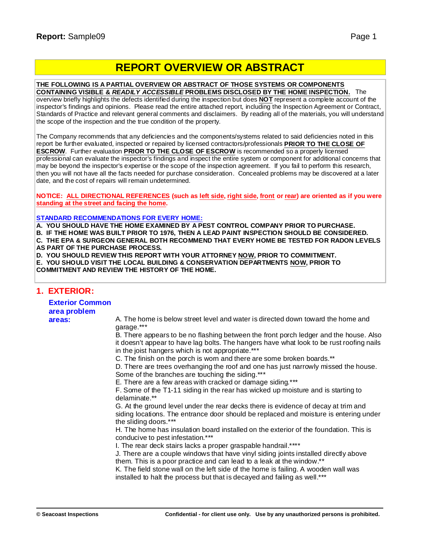# **REPORT OVERVIEW OR ABSTRACT**

#### **THE FOLLOWING IS A PARTIAL OVERVIEW OR ABSTRACT OF THOSE SYSTEMS OR COMPONENTS**

**CONTAINING VISIBLE &** *READILY ACCESSIBLE* **PROBLEMS DISCLOSED BY THE HOME INSPECTION.** The overview briefly highlights the defects identified during the inspection but does **NOT** represent a complete account of the inspector's findings and opinions. Please read the entire attached report, including the Inspection Agreement or Contract, Standards of Practice and relevant general comments and disclaimers. By reading all of the materials, you will understand the scope of the inspection and the true condition of the property.

The Company recommends that any deficiencies and the components/systems related to said deficiencies noted in this report be further evaluated, inspected or repaired by licensed contractors/professionals **PRIOR TO THE CLOSE OF ESCROW**. Further evaluation **PRIOR TO THE CLOSE OF ESCROW** is recommended so a properly licensed professional can evaluate the inspector's findings and inspect the entire system or component for additional concerns that may be beyond the inspector's expertise or the scope of the inspection agreement. If you fail to perform this research, then you will not have all the facts needed for purchase consideration. Concealed problems may be discovered at a later date, and the cost of repairs will remain undetermined.

NOTICE: ALL DIRECTIONAL REFERENCES (such as left side, right side, front or rear) are oriented as if you were **standing at the street and facing the home.**

#### **STANDARD RECOMMENDATIONS FOR EVERY HOME:**

**A. YOU SHOULD HAVE THE HOME EXAMINED BY A PEST CONTROL COMPANY PRIOR TO PURCHASE.**

**B. IF THE HOME WAS BUILT PRIOR TO 1976, THEN A LEAD PAINT INSPECTION SHOULD BE CONSIDERED. C. THE EPA & SURGEON GENERAL BOTH RECOMMEND THAT EVERY HOME BE TESTED FOR RADON LEVELS AS PART OF THE PURCHASE PROCESS.**

**D. YOU SHOULD REVIEW THIS REPORT WITH YOUR ATTORNEY NOW, PRIOR TO COMMITMENT.**

**E. YOU SHOULD VISIT THE LOCAL BUILDING & CONSERVATION DEPARTMENTS NOW, PRIOR TO**

**COMMITMENT AND REVIEW THE HISTORY OF THE HOME.**

#### **1. EXTERIOR:**

## **Exterior Common area problem**

**areas:** A. The home is below street level and water is directed down toward the home and garage.\*\*\*

B. There appears to be no flashing between the front porch ledger and the house. Also it doesn't appear to have lag bolts. The hangers have what look to be rust roofing nails in the joist hangers which is not appropriate.\*\*\*

C. The finish on the porch is worn and there are some broken boards.\*\*

D. There are trees overhanging the roof and one has just narrowly missed the house. Some of the branches are touching the siding.\*\*\*

E. There are a few areas with cracked or damage siding.\*\*\*

F. Some of the T1-11 siding in the rear has wicked up moisture and is starting to delaminate.\*\*

G. At the ground level under the rear decks there is evidence of decay at trim and siding locations. The entrance door should be replaced and moisture is entering under the sliding doors.\*\*\*

H. The home has insulation board installed on the exterior of the foundation. This is conducive to pest infestation.\*\*\*

I. The rear deck stairs lacks a proper graspable handrail.\*\*\*\*

J. There are a couple windows that have vinyl siding joints installed directly above them. This is a poor practice and can lead to a leak at the window.\*\*

K. The field stone wall on the left side of the home is failing. A wooden wall was installed to halt the process but that is decayed and failing as well.\*\*\*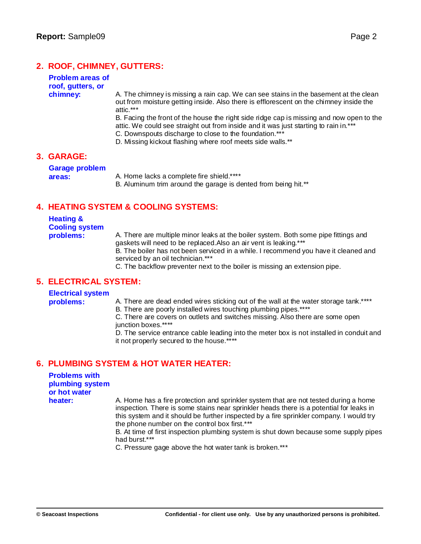## **2. ROOF, CHIMNEY, GUTTERS:**

| <b>Problem areas of</b> |
|-------------------------|
| roof, gutters, or       |
| chimney:                |

**chimney:** A. The chimney is missing a rain cap. We can see stains in the basement at the clean out from moisture getting inside. Also there is efflorescent on the chimney inside the attic.\*\*\*

B. Facing the front of the house the right side ridge cap is missing and now open to the attic. We could see straight out from inside and it was just starting to rain in.\*\*\* C. Downspouts discharge to close to the foundation.\*\*\*

D. Missing kickout flashing where roof meets side walls.\*\*

#### **3. GARAGE:**

**Garage problem**

**areas:** A. Home lacks a complete fire shield.\*\*\*\*

B. Aluminum trim around the garage is dented from being hit.\*\*

### **4. HEATING SYSTEM & COOLING SYSTEMS:**

#### **Heating & Cooling system problems:** A. There are multiple minor leaks at the boiler system. Both some pipe fittings and gaskets will need to be replaced.Also an air vent is leaking.\*\*\* B. The boiler has not been serviced in a while. I recommend you have it cleaned and serviced by an oil technician.\*\*\*

C. The backflow preventer next to the boiler is missing an extension pipe.

#### **5. ELECTRICAL SYSTEM:**

#### **Electrical system**

- **problems:** A. There are dead ended wires sticking out of the wall at the water storage tank.\*\*\*\*
	- B. There are poorly installed wires touching plumbing pipes.\*\*\*\*

C. There are covers on outlets and switches missing. Also there are some open junction boxes.\*\*\*\*

D. The service entrance cable leading into the meter box is not installed in conduit and it not properly secured to the house.\*\*

## **6. PLUMBING SYSTEM & HOT WATER HEATER:**

| <b>Problems with</b> |
|----------------------|
| plumbing system      |
| or hot water         |
| heater:              |

A. Home has a fire protection and sprinkler system that are not tested during a home inspection. There is some stains near sprinkler heads there is a potential for leaks in this system and it should be further inspected by a fire sprinkler company. I would try the phone number on the control box first.\*\*\*

B. At time of first inspection plumbing system is shut down because some supply pipes had burst.\*\*\*

C. Pressure gage above the hot water tank is broken.\*\*\*